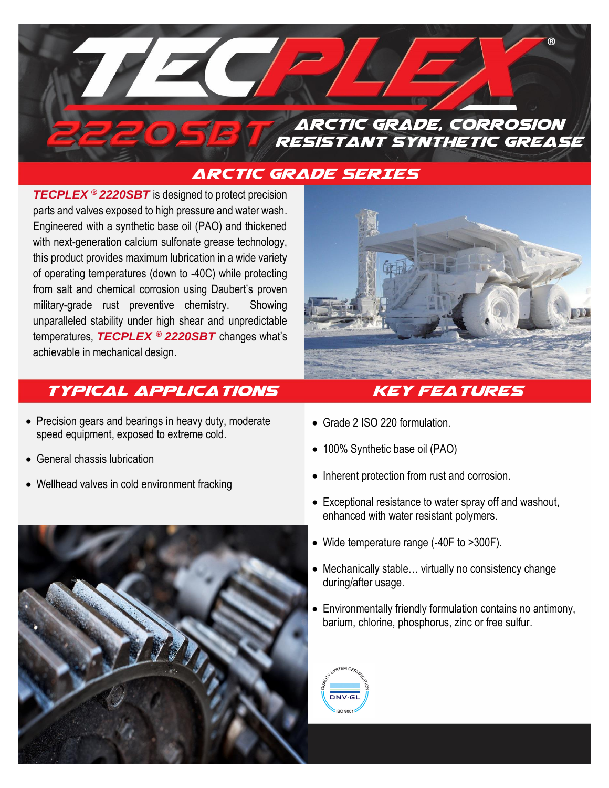

## Arctic Grade SERIES

*TECPLEX* **®** *2220SBT* is designed to protect precision parts and valves exposed to high pressure and water wash. Engineered with a synthetic base oil (PAO) and thickened with next-generation calcium sulfonate grease technology, this product provides maximum lubrication in a wide variety of operating temperatures (down to -40C) while protecting from salt and chemical corrosion using Daubert's proven military-grade rust preventive chemistry. Showing unparalleled stability under high shear and unpredictable temperatures, *TECPLEX* **®** *2220SBT* changes what's achievable in mechanical design.

# **TYPICAL APPLICATIONS KEY FEATURES**

- Precision gears and bearings in heavy duty, moderate speed equipment, exposed to extreme cold.
- General chassis lubrication
- Wellhead valves in cold environment fracking





- Grade 2 ISO 220 formulation.
- 100% Synthetic base oil (PAO)
- Inherent protection from rust and corrosion.
- Exceptional resistance to water spray off and washout, enhanced with water resistant polymers.
- Wide temperature range (-40F to >300F).
- Mechanically stable… virtually no consistency change during/after usage.
- Environmentally friendly formulation contains no antimony, barium, chlorine, phosphorus, zinc or free sulfur.